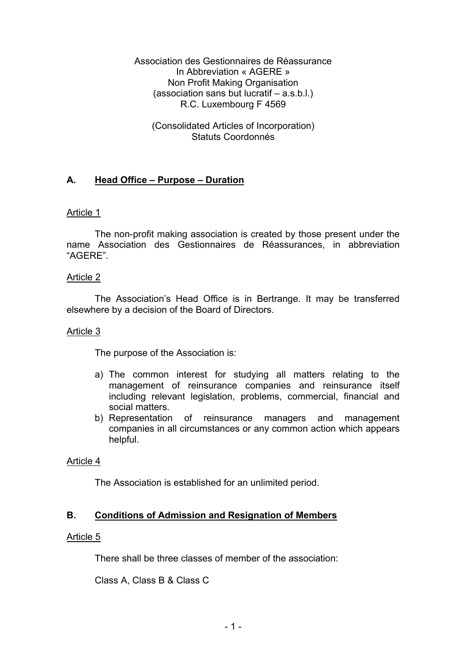Association des Gestionnaires de Réassurance In Abbreviation « AGERE » Non Profit Making Organisation (association sans but lucratif – a.s.b.l.) R.C. Luxembourg F 4569

(Consolidated Articles of Incorporation) Statuts Coordonnés

# **A. Head Office – Purpose – Duration**

## Article 1

The non-profit making association is created by those present under the name Association des Gestionnaires de Réassurances, in abbreviation "AGERE".

## Article 2

The Association's Head Office is in Bertrange. It may be transferred elsewhere by a decision of the Board of Directors.

## Article 3

The purpose of the Association is:

- a) The common interest for studying all matters relating to the management of reinsurance companies and reinsurance itself including relevant legislation, problems, commercial, financial and social matters.
- b) Representation of reinsurance managers and management companies in all circumstances or any common action which appears helpful.

## Article 4

The Association is established for an unlimited period.

## **B. Conditions of Admission and Resignation of Members**

### Article 5

There shall be three classes of member of the association:

Class A, Class B & Class C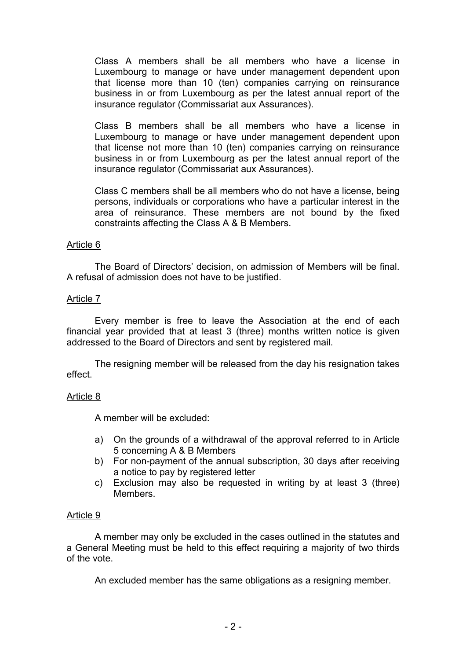Class A members shall be all members who have a license in Luxembourg to manage or have under management dependent upon that license more than 10 (ten) companies carrying on reinsurance business in or from Luxembourg as per the latest annual report of the insurance regulator (Commissariat aux Assurances).

Class B members shall be all members who have a license in Luxembourg to manage or have under management dependent upon that license not more than 10 (ten) companies carrying on reinsurance business in or from Luxembourg as per the latest annual report of the insurance regulator (Commissariat aux Assurances).

Class C members shall be all members who do not have a license, being persons, individuals or corporations who have a particular interest in the area of reinsurance. These members are not bound by the fixed constraints affecting the Class A & B Members.

## Article 6

The Board of Directors' decision, on admission of Members will be final. A refusal of admission does not have to be justified.

### Article 7

Every member is free to leave the Association at the end of each financial year provided that at least 3 (three) months written notice is given addressed to the Board of Directors and sent by registered mail.

The resigning member will be released from the day his resignation takes effect.

## Article 8

A member will be excluded:

- a) On the grounds of a withdrawal of the approval referred to in Article 5 concerning A & B Members
- b) For non-payment of the annual subscription, 30 days after receiving a notice to pay by registered letter
- c) Exclusion may also be requested in writing by at least 3 (three) Members.

## Article 9

A member may only be excluded in the cases outlined in the statutes and a General Meeting must be held to this effect requiring a majority of two thirds of the vote.

An excluded member has the same obligations as a resigning member.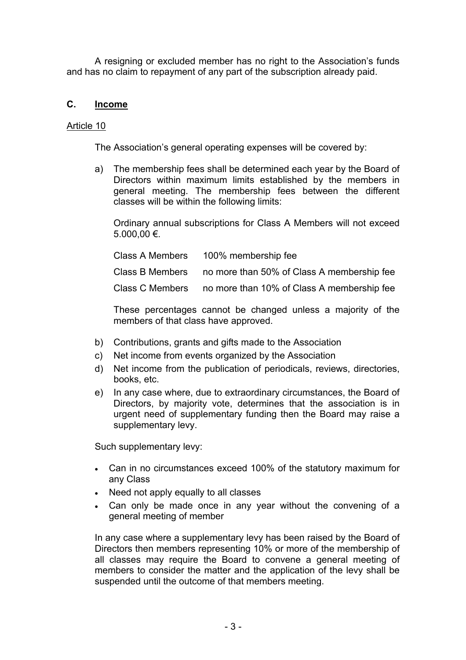A resigning or excluded member has no right to the Association's funds and has no claim to repayment of any part of the subscription already paid.

# **C. Income**

# Article 10

The Association's general operating expenses will be covered by:

a) The membership fees shall be determined each year by the Board of Directors within maximum limits established by the members in general meeting. The membership fees between the different classes will be within the following limits:

Ordinary annual subscriptions for Class A Members will not exceed 5.000,00 €.

| 100% membership fee                        |
|--------------------------------------------|
| no more than 50% of Class A membership fee |
| no more than 10% of Class A membership fee |
|                                            |

These percentages cannot be changed unless a majority of the members of that class have approved.

- b) Contributions, grants and gifts made to the Association
- c) Net income from events organized by the Association
- d) Net income from the publication of periodicals, reviews, directories, books, etc.
- e) In any case where, due to extraordinary circumstances, the Board of Directors, by majority vote, determines that the association is in urgent need of supplementary funding then the Board may raise a supplementary levy.

Such supplementary levy:

- Can in no circumstances exceed 100% of the statutory maximum for any Class
- Need not apply equally to all classes
- Can only be made once in any year without the convening of a general meeting of member

In any case where a supplementary levy has been raised by the Board of Directors then members representing 10% or more of the membership of all classes may require the Board to convene a general meeting of members to consider the matter and the application of the levy shall be suspended until the outcome of that members meeting.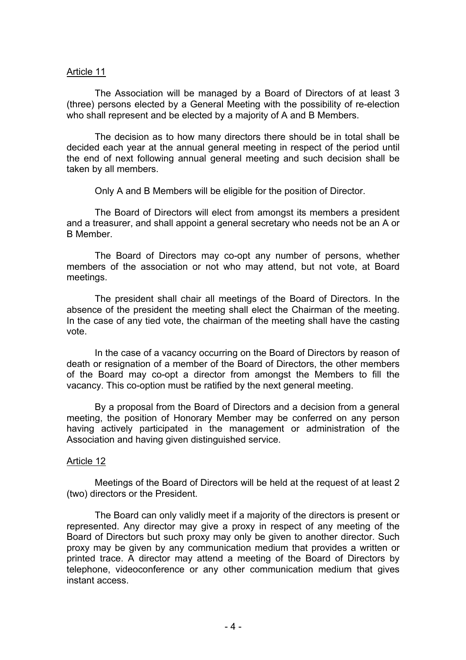### Article 11

The Association will be managed by a Board of Directors of at least 3 (three) persons elected by a General Meeting with the possibility of re-election who shall represent and be elected by a majority of A and B Members.

The decision as to how many directors there should be in total shall be decided each year at the annual general meeting in respect of the period until the end of next following annual general meeting and such decision shall be taken by all members.

Only A and B Members will be eligible for the position of Director.

The Board of Directors will elect from amongst its members a president and a treasurer, and shall appoint a general secretary who needs not be an A or B Member.

The Board of Directors may co-opt any number of persons, whether members of the association or not who may attend, but not vote, at Board meetings.

The president shall chair all meetings of the Board of Directors. In the absence of the president the meeting shall elect the Chairman of the meeting. In the case of any tied vote, the chairman of the meeting shall have the casting vote.

In the case of a vacancy occurring on the Board of Directors by reason of death or resignation of a member of the Board of Directors, the other members of the Board may co-opt a director from amongst the Members to fill the vacancy. This co-option must be ratified by the next general meeting.

By a proposal from the Board of Directors and a decision from a general meeting, the position of Honorary Member may be conferred on any person having actively participated in the management or administration of the Association and having given distinguished service.

## Article 12

Meetings of the Board of Directors will be held at the request of at least 2 (two) directors or the President.

The Board can only validly meet if a majority of the directors is present or represented. Any director may give a proxy in respect of any meeting of the Board of Directors but such proxy may only be given to another director. Such proxy may be given by any communication medium that provides a written or printed trace. A director may attend a meeting of the Board of Directors by telephone, videoconference or any other communication medium that gives instant access.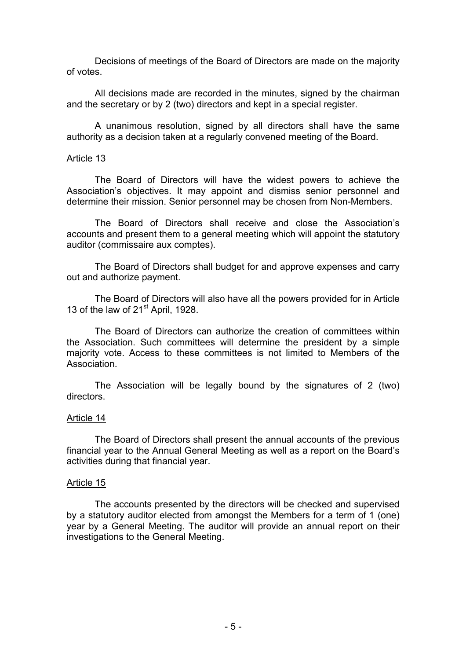Decisions of meetings of the Board of Directors are made on the majority of votes.

All decisions made are recorded in the minutes, signed by the chairman and the secretary or by 2 (two) directors and kept in a special register.

A unanimous resolution, signed by all directors shall have the same authority as a decision taken at a regularly convened meeting of the Board.

### Article 13

The Board of Directors will have the widest powers to achieve the Association's objectives. It may appoint and dismiss senior personnel and determine their mission. Senior personnel may be chosen from Non-Members.

The Board of Directors shall receive and close the Association's accounts and present them to a general meeting which will appoint the statutory auditor (commissaire aux comptes).

The Board of Directors shall budget for and approve expenses and carry out and authorize payment.

The Board of Directors will also have all the powers provided for in Article 13 of the law of 21<sup>st</sup> April, 1928.

The Board of Directors can authorize the creation of committees within the Association. Such committees will determine the president by a simple majority vote. Access to these committees is not limited to Members of the Association.

The Association will be legally bound by the signatures of 2 (two) directors.

### Article 14

The Board of Directors shall present the annual accounts of the previous financial year to the Annual General Meeting as well as a report on the Board's activities during that financial year.

### Article 15

The accounts presented by the directors will be checked and supervised by a statutory auditor elected from amongst the Members for a term of 1 (one) year by a General Meeting. The auditor will provide an annual report on their investigations to the General Meeting.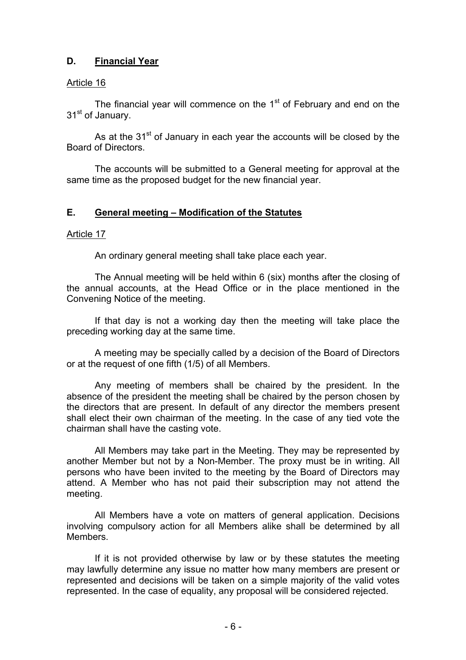# **D. Financial Year**

# Article 16

The financial year will commence on the  $1<sup>st</sup>$  of February and end on the 31<sup>st</sup> of January.

As at the  $31<sup>st</sup>$  of January in each year the accounts will be closed by the Board of Directors.

The accounts will be submitted to a General meeting for approval at the same time as the proposed budget for the new financial year.

## **E. General meeting – Modification of the Statutes**

## Article 17

An ordinary general meeting shall take place each year.

The Annual meeting will be held within 6 (six) months after the closing of the annual accounts, at the Head Office or in the place mentioned in the Convening Notice of the meeting.

If that day is not a working day then the meeting will take place the preceding working day at the same time.

A meeting may be specially called by a decision of the Board of Directors or at the request of one fifth (1/5) of all Members.

Any meeting of members shall be chaired by the president. In the absence of the president the meeting shall be chaired by the person chosen by the directors that are present. In default of any director the members present shall elect their own chairman of the meeting. In the case of any tied vote the chairman shall have the casting vote.

All Members may take part in the Meeting. They may be represented by another Member but not by a Non-Member. The proxy must be in writing. All persons who have been invited to the meeting by the Board of Directors may attend. A Member who has not paid their subscription may not attend the meeting.

All Members have a vote on matters of general application. Decisions involving compulsory action for all Members alike shall be determined by all **Members** 

If it is not provided otherwise by law or by these statutes the meeting may lawfully determine any issue no matter how many members are present or represented and decisions will be taken on a simple majority of the valid votes represented. In the case of equality, any proposal will be considered rejected.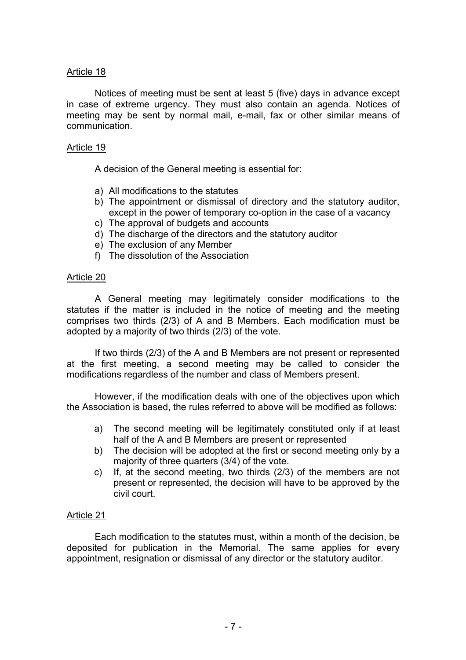## Article 18

Notices of meeting must be sent at least 5 (five) days in advance except in case of extreme urgency. They must also contain an agenda. Notices of meeting may be sent by normal mail, e-mail, fax or other similar means of communication.

## Article 19

A decision of the General meeting is essential for:

- a) All modifications to the statutes
- b) The appointment or dismissal of directory and the statutory auditor, except in the power of temporary co-option in the case of a vacancy
- c) The approval of budgets and accounts
- d) The discharge of the directors and the statutory auditor
- e) The exclusion of any Member
- f) The dissolution of the Association

### Article 20

A General meeting may legitimately consider modifications to the statutes if the matter is included in the notice of meeting and the meeting comprises two thirds (2/3) of A and B Members. Each modification must be adopted by a majority of two thirds (2/3) of the vote.

If two thirds (2/3) of the A and B Members are not present or represented at the first meeting, a second meeting may be called to consider the modifications regardless of the number and class of Members present.

However, if the modification deals with one of the objectives upon which the Association is based, the rules referred to above will be modified as follows:

- a) The second meeting will be legitimately constituted only if at least half of the A and B Members are present or represented
- b) The decision will be adopted at the first or second meeting only by a majority of three quarters (3/4) of the vote.
- c) If, at the second meeting, two thirds (2/3) of the members are not present or represented, the decision will have to be approved by the civil court.

## Article 21

Each modification to the statutes must, within a month of the decision, be deposited for publication in the Memorial. The same applies for every appointment, resignation or dismissal of any director or the statutory auditor.